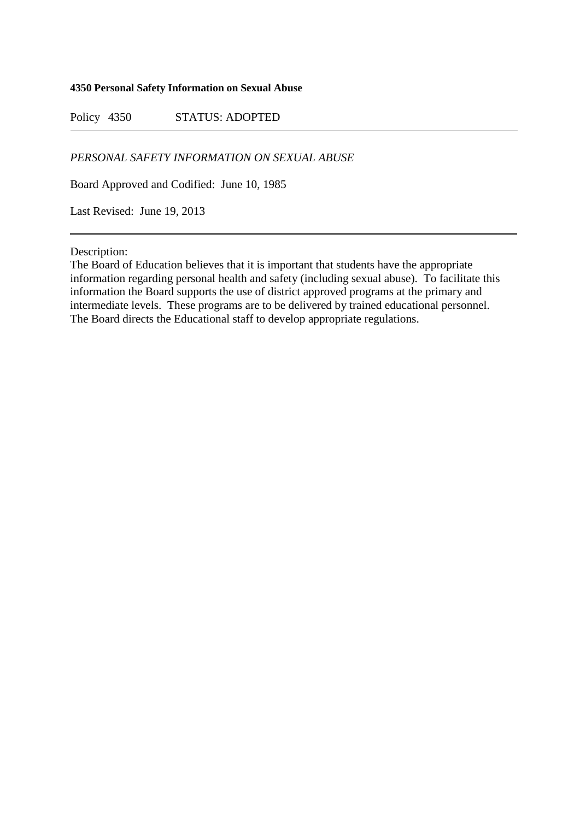## **4350 Personal Safety Information on Sexual Abuse**

Policy 4350 STATUS: ADOPTED

## *PERSONAL SAFETY INFORMATION ON SEXUAL ABUSE*

Board Approved and Codified: June 10, 1985

Last Revised: June 19, 2013

Description:

The Board of Education believes that it is important that students have the appropriate information regarding personal health and safety (including sexual abuse). To facilitate this information the Board supports the use of district approved programs at the primary and intermediate levels. These programs are to be delivered by trained educational personnel. The Board directs the Educational staff to develop appropriate regulations.